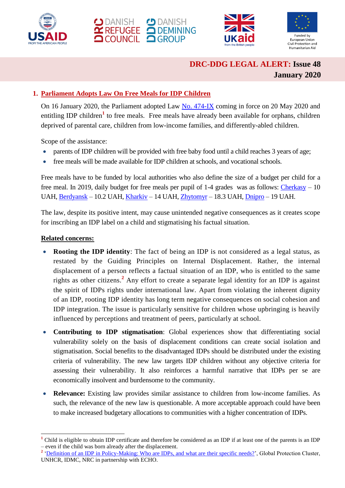







# **DRC-DDG LEGAL ALERT: Issue 48 January 2020**

# **1. Parliament Adopts Law On Free Meals for IDP Children**

On 16 January 2020, the Parliament adopted Law [No. 474-IX](https://zakon.rada.gov.ua/laws/main/474-IX) coming in force on 20 May 2020 and entitling IDP children<sup>1</sup> to free meals. Free meals have already been available for orphans, children deprived of parental care, children from low-income families, and differently-abled children.

Scope of the assistance:

- parents of IDP children will be provided with free baby food until a child reaches 3 years of age;
- free meals will be made available for IDP children at schools, and vocational schools.

Free meals have to be funded by local authorities who also define the size of a budget per child for a free meal. In 2019, daily budget for free meals per pupil of 1-4 grades was as follows: [Cherkasy](http://vechirka.net/ekonomika/yak-nagoduvati-ditinu-na-10-griven) – 10 UAH, [Berdyansk](https://bmr.gov.ua/index.php?id=311) – 10.2 UAH, [Kharkiv](https://www.city.kharkov.ua/uk/document/informatsiyne-povidomlennya-pro-byudzhet-mista-kharkova-na-2019-rik-54222.html) – 14 UAH, [Zhytomyr](https://zhitomir-online.com/top_news/92062-skilky-koshtuvatyme-kharchuvannya-v-sadochkakh-ta-shkolakh-zhytomyra.html) – 18.3 UAH, [Dnipro](https://opentv.media/skilki-bude-koshtuvati-u-dnipri-harchuvannya-uchniv-pochatkovih-klasiv) – 19 UAH.

The law, despite its positive intent, may cause unintended negative consequences as it creates scope for inscribing an IDP label on a child and stigmatising his factual situation.

## **Related concerns:**

1

- **Rooting the IDP identity**: The fact of being an IDP is not considered as a legal status, as restated by the Guiding Principles on Internal Displacement. Rather, the internal displacement of a person reflects a factual situation of an IDP, who is entitled to the same rights as other citizens.**<sup>2</sup>** Any effort to create a separate legal identity for an IDP is against the spirit of IDPs rights under international law. Apart from violating the inherent dignity of an IDP, rooting IDP identity has long term negative consequences on social cohesion and IDP integration. The issue is particularly sensitive for children whose upbringing is heavily influenced by perceptions and treatment of peers, particularly at school.
- **Contributing to IDP stigmatisation**: Global experiences show that differentiating social vulnerability solely on the basis of displacement conditions can create social isolation and stigmatisation. Social benefits to the disadvantaged IDPs should be distributed under the existing criteria of vulnerability. The new law targets IDP children without any objective criteria for assessing their vulnerability. It also reinforces a harmful narrative that IDPs per se are economically insolvent and burdensome to the community.
- **Relevance:** Existing law provides similar assistance to children from low-income families. As such, the relevance of the new law is questionable. A more acceptable approach could have been to make increased budgetary allocations to communities with a higher concentration of IDPs.

<sup>&</sup>lt;sup>1</sup> Child is eligible to obtain IDP certificate and therefore be considered as an IDP if at least one of the parents is an IDP – even if the child was born already after the displacement.

<sup>&</sup>lt;sup>2</sup> <u>['Definition of an IDP in Policy-Making: Who are IDPs, and what are](https://www.internal-displacement.org/sites/default/files/inline-files/Session-1-handout.pdf) their specific needs?', Global Protection Cluster,</u> UNHCR, IDMC, NRC in partnership with ECHO.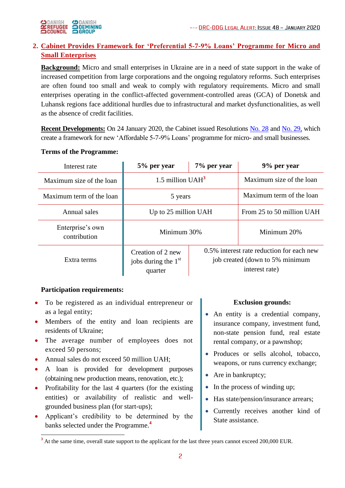

# **2. Cabinet Provides Framework for 'Preferential 5-7-9% Loans' Programme for Micro and Small Enterprises**

**Background:** Micro and small enterprises in Ukraine are in a need of state support in the wake of increased competition from large corporations and the ongoing regulatory reforms. Such enterprises are often found too small and weak to comply with regulatory requirements. Micro and small enterprises operating in the conflict-affected government-controlled areas (GCA) of Donetsk and Luhansk regions face additional hurdles due to infrastructural and market dysfunctionalities, as well as the absence of credit facilities.

**Recent Developments:** On 24 January 2020, the Cabinet issued Resolutions [No. 28](https://www.kmu.gov.ua/npas/pro-zatverdzhennya-poryadku-nadannya-finansovoyi-derzhavnoyi-pidtrimki-subyektam-t240120) and [No. 29,](https://www.kmu.gov.ua/npas/pro-zatverdzhennya-poryadku-vikoristannya-koshtiv-derzhavnogo-byudzhetu-peredbachenih-t240120) which create a framework for new 'Affordable 5-7-9% Loans' programme for micro- and small businesses.

## **Terms of the Programme:**

| Interest rate                    | 5% per year                                           | 7% per year                                                                                    | 9% per year               |
|----------------------------------|-------------------------------------------------------|------------------------------------------------------------------------------------------------|---------------------------|
| Maximum size of the loan         | 1.5 million $UAH3$                                    |                                                                                                | Maximum size of the loan  |
| Maximum term of the loan         | 5 years                                               |                                                                                                | Maximum term of the loan  |
| Annual sales                     | Up to 25 million UAH                                  |                                                                                                | From 25 to 50 million UAH |
| Enterprise's own<br>contribution | Minimum 30%                                           |                                                                                                | Minimum 20%               |
| Extra terms                      | Creation of 2 new<br>jobs during the $1st$<br>quarter | 0.5% interest rate reduction for each new<br>job created (down to 5% minimum<br>interest rate) |                           |

## **Participation requirements:**

1

- To be registered as an individual entrepreneur or as a legal entity;
- Members of the entity and loan recipients are residents of Ukraine;
- The average number of employees does not exceed 50 persons;
- Annual sales do not exceed 50 million UAH;
- A loan is provided for development purposes (obtaining new production means, renovation, etc.);
- Profitability for the last 4 quarters (for the existing entities) or availability of realistic and wellgrounded business plan (for start-ups);
- Applicant's credibility to be determined by the banks selected under the Programme. **4**

#### **Exclusion grounds:**

- An entity is a credential company, insurance company, investment fund, non-state pension fund, real estate rental company, or a pawnshop;
- Produces or sells alcohol, tobacco, weapons, or runs currency exchange;
- Are in bankruptcy;
- In the process of winding up;
- Has state/pension/insurance arrears;
- Currently receives another kind of State assistance.

<sup>&</sup>lt;sup>3</sup> At the same time, overall state support to the applicant for the last three years cannot exceed 200,000 EUR.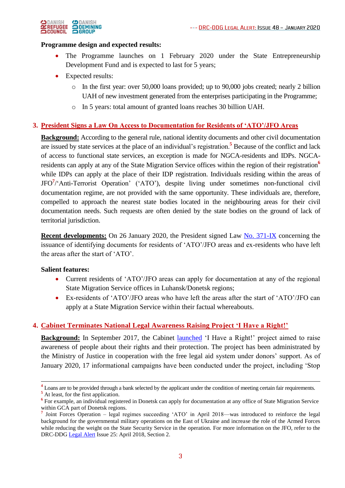

#### **Programme design and expected results:**

- The Programme launches on 1 February 2020 under the State Entrepreneurship Development Fund and is expected to last for 5 years;
- Expected results:
	- o In the first year: over 50,000 loans provided; up to 90,000 jobs created; nearly 2 billion UAH of new investment generated from the enterprises participating in the Programme;
	- o In 5 years: total amount of granted loans reaches 30 billion UAH.

#### **3. President Signs a Law On Access to Documentation for Residents of 'ATO'/JFO Areas**

**Background:** According to the general rule, national identity documents and other civil documentation are issued by state services at the place of an individual's registration.**<sup>5</sup>** Because of the conflict and lack of access to functional state services, an exception is made for NGCA-residents and IDPs. NGCAresidents can apply at any of the State Migration Service offices within the region of their registration**<sup>6</sup>** while IDPs can apply at the place of their IDP registration. Individuals residing within the areas of JFO**<sup>7</sup>** /'Anti-Terrorist Operation' ('ATO'), despite living under sometimes non-functional civil documentation regime, are not provided with the same opportunity. These individuals are, therefore, compelled to approach the nearest state bodies located in the neighbouring areas for their civil documentation needs. Such requests are often denied by the state bodies on the ground of lack of territorial jurisdiction.

**Recent developments:** On 26 January 2020, the President signed Law [No. 371-IX](https://zakon.rada.gov.ua/laws/show/371-20) concerning the issuance of identifying documents for residents of 'ATO'/JFO areas and ex-residents who have left the areas after the start of 'ATO'.

#### **Salient features:**

- Current residents of 'ATO'/JFO areas can apply for documentation at any of the regional State Migration Service offices in Luhansk/Donetsk regions;
- Ex-residents of 'ATO'/JFO areas who have left the areas after the start of 'ATO'/JFO can apply at a State Migration Service within their factual whereabouts.

#### **4. Cabinet Terminates National Legal Awareness Raising Project 'I Have a Right!'**

**Background:** In September 2017, the Cabinet [launched](https://zakon.rada.gov.ua/laws/show/638-2017-р) 'I Have a Right!' project aimed to raise awareness of people about their rights and their protection. The project has been administrated by the Ministry of Justice in cooperation with the free legal aid system under donors' support. As of January 2020, 17 informational campaigns have been conducted under the project, including 'Stop

1

<sup>&</sup>lt;sup>4</sup> Loans are to be provided through a bank selected by the applicant under the condition of meeting certain fair requirements.

**<sup>5</sup>** At least, for the first application.

<sup>&</sup>lt;sup>6</sup> For example, an individual registered in Donetsk can apply for documentation at any office of State Migration Service within GCA part of Donetsk regions.

<sup>&</sup>lt;sup>7</sup> Joint Forces Operation – legal regimes succeeding 'ATO' in April 2018—was introduced to reinforce the legal background for the governmental military operations on the East of Ukraine and increase the role of the Armed Forces while reducing the weight on the State Security Service in the operation. For more information on the JFO, refer to the DRC-DDG [Legal Alert](https://www.humanitarianresponse.info/en/operations/ukraine/document/drc-legal-alert-april-2018-юридичний-інформаційний-бюлетень-юридический) Issue 25: April 2018, Section 2.